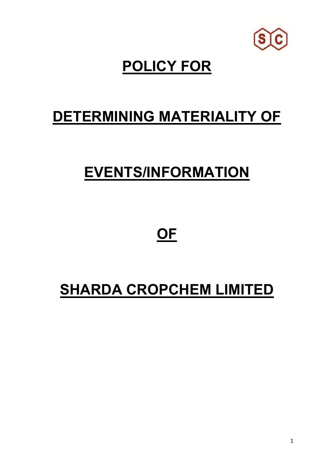

## **POLICY FOR**

### **DETERMINING MATERIALITY OF**

# **EVENTS/INFORMATION**

**OF**

# **SHARDA CROPCHEM LIMITED**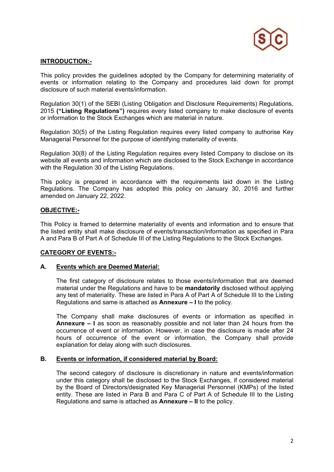

#### **INTRODUCTION:-**

This policy provides the guidelines adopted by the Company for determining materiality of events or information relating to the Company and procedures laid down for prompt disclosure of such material events/information.

Regulation 30(1) of the SEBI (Listing Obligation and Disclosure Requirements) Regulations, 2015 **("Listing Regulations")** requires every listed company to make disclosure of events or information to the Stock Exchanges which are material in nature.

Regulation 30(5) of the Listing Regulation requires every listed company to authorise Key Managerial Personnel for the purpose of identifying materiality of events.

Regulation 30(8) of the Listing Regulation requires every listed Company to disclose on its website all events and information which are disclosed to the Stock Exchange in accordance with the Regulation 30 of the Listing Regulations.

This policy is prepared in accordance with the requirements laid down in the Listing Regulations. The Company has adopted this policy on January 30, 2016 and further amended on January 22, 2022.

#### **OBJECTIVE:-**

This Policy is framed to determine materiality of events and information and to ensure that the listed entity shall make disclosure of events/transaction/information as specified in Para A and Para B of Part A of Schedule III of the Listing Regulations to the Stock Exchanges.

### **CATEGORY OF EVENTS:-**

#### **A. Events which are Deemed Material:**

The first category of disclosure relates to those events/information that are deemed material under the Regulations and have to be **mandatorily** disclosed without applying any test of materiality. These are listed in Para A of Part A of Schedule III to the Listing Regulations and same is attached as **Annexure – I** to the policy.

The Company shall make disclosures of events or information as specified in **Annexure – I** as soon as reasonably possible and not later than 24 hours from the occurrence of event or information. However, in case the disclosure is made after 24 hours of occurrence of the event or information, the Company shall provide explanation for delay along with such disclosures.

#### **B. Events or information, if considered material by Board:**

The second category of disclosure is discretionary in nature and events/information under this category shall be disclosed to the Stock Exchanges, if considered material by the Board of Directors/designated Key Managerial Personnel (KMPs) of the listed entity. These are listed in Para B and Para C of Part A of Schedule III to the Listing Regulations and same is attached as **Annexure – II** to the policy.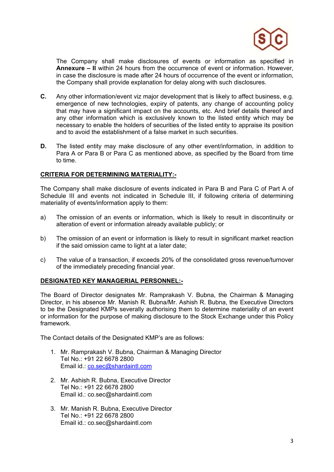

The Company shall make disclosures of events or information as specified in **Annexure – II** within 24 hours from the occurrence of event or information. However, in case the disclosure is made after 24 hours of occurrence of the event or information, the Company shall provide explanation for delay along with such disclosures.

- **C.** Any other information/event viz major development that is likely to affect business, e.g. emergence of new technologies, expiry of patents, any change of accounting policy that may have a significant impact on the accounts, etc. And brief details thereof and any other information which is exclusively known to the listed entity which may be necessary to enable the holders of securities of the listed entity to appraise its position and to avoid the establishment of a false market in such securities.
- **D.** The listed entity may make disclosure of any other event/information, in addition to Para A or Para B or Para C as mentioned above, as specified by the Board from time to time.

#### **CRITERIA FOR DETERMINING MATERIALITY:-**

The Company shall make disclosure of events indicated in Para B and Para C of Part A of Schedule III and events not indicated in Schedule III, if following criteria of determining materiality of events/information apply to them:

- a) The omission of an events or information, which is likely to result in discontinuity or alteration of event or information already available publicly; or
- b) The omission of an event or information is likely to result in significant market reaction if the said omission came to light at a later date;
- c) The value of a transaction, if exceeds 20% of the consolidated gross revenue/turnover of the immediately preceding financial year.

#### **DESIGNATED KEY MANAGERIAL PERSONNEL:-**

The Board of Director designates Mr. Ramprakash V. Bubna, the Chairman & Managing Director, in his absence Mr. Manish R. Bubna/Mr. Ashish R. Bubna, the Executive Directors to be the Designated KMPs severally authorising them to determine materiality of an event or information for the purpose of making disclosure to the Stock Exchange under this Policy framework.

The Contact details of the Designated KMP's are as follows:

- 1. Mr. Ramprakash V. Bubna, Chairman & Managing Director Tel No.: +91 22 6678 2800 Email id.: co.sec@shardaintl.com
- 2. Mr. Ashish R. Bubna, Executive Director Tel No.: +91 22 6678 2800 Email id.: co.sec@shardaintl.com
- 3. Mr. Manish R. Bubna, Executive Director Tel No $\cdot$  +91 22 6678 2800 Email id.: co.sec@shardaintl.com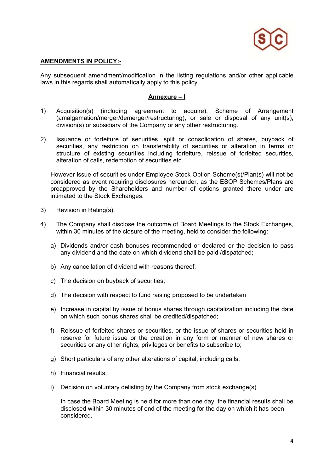

#### **AMENDMENTS IN POLICY:-**

Any subsequent amendment/modification in the listing regulations and/or other applicable laws in this regards shall automatically apply to this policy.

#### **Annexure – I**

- 1) Acquisition(s) (including agreement to acquire), Scheme of Arrangement (amalgamation/merger/demerger/restructuring), or sale or disposal of any unit(s), division(s) or subsidiary of the Company or any other restructuring.
- 2) Issuance or forfeiture of securities, split or consolidation of shares, buyback of securities, any restriction on transferability of securities or alteration in terms or structure of existing securities including forfeiture, reissue of forfeited securities, alteration of calls, redemption of securities etc.

However issue of securities under Employee Stock Option Scheme(s)/Plan(s) will not be considered as event requiring disclosures hereunder, as the ESOP Schemes/Plans are preapproved by the Shareholders and number of options granted there under are intimated to the Stock Exchanges.

- 3) Revision in Rating(s).
- 4) The Company shall disclose the outcome of Board Meetings to the Stock Exchanges, within 30 minutes of the closure of the meeting, held to consider the following:
	- a) Dividends and/or cash bonuses recommended or declared or the decision to pass any dividend and the date on which dividend shall be paid /dispatched;
	- b) Any cancellation of dividend with reasons thereof;
	- c) The decision on buyback of securities;
	- d) The decision with respect to fund raising proposed to be undertaken
	- e) Increase in capital by issue of bonus shares through capitalization including the date on which such bonus shares shall be credited/dispatched;
	- f) Reissue of forfeited shares or securities, or the issue of shares or securities held in reserve for future issue or the creation in any form or manner of new shares or securities or any other rights, privileges or benefits to subscribe to;
	- g) Short particulars of any other alterations of capital, including calls;
	- h) Financial results;
	- i) Decision on voluntary delisting by the Company from stock exchange(s).

In case the Board Meeting is held for more than one day, the financial results shall be disclosed within 30 minutes of end of the meeting for the day on which it has been considered.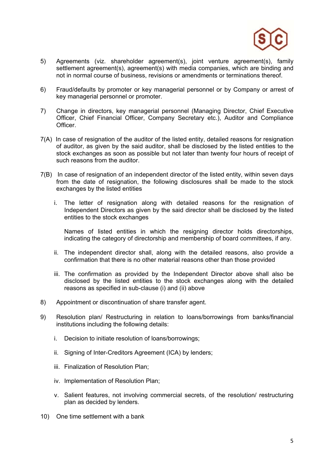

- 5) Agreements (viz. shareholder agreement(s), joint venture agreement(s), family settlement agreement(s), agreement(s) with media companies, which are binding and not in normal course of business, revisions or amendments or terminations thereof.
- 6) Fraud/defaults by promoter or key managerial personnel or by Company or arrest of key managerial personnel or promoter.
- 7) Change in directors, key managerial personnel (Managing Director, Chief Executive Officer, Chief Financial Officer, Company Secretary etc.), Auditor and Compliance Officer.
- 7(A) In case of resignation of the auditor of the listed entity, detailed reasons for resignation of auditor, as given by the said auditor, shall be disclosed by the listed entities to the stock exchanges as soon as possible but not later than twenty four hours of receipt of such reasons from the auditor.
- 7(B) In case of resignation of an independent director of the listed entity, within seven days from the date of resignation, the following disclosures shall be made to the stock exchanges by the listed entities
	- i. The letter of resignation along with detailed reasons for the resignation of Independent Directors as given by the said director shall be disclosed by the listed entities to the stock exchanges

Names of listed entities in which the resigning director holds directorships, indicating the category of directorship and membership of board committees, if any.

- ii. The independent director shall, along with the detailed reasons, also provide a confirmation that there is no other material reasons other than those provided
- iii. The confirmation as provided by the Independent Director above shall also be disclosed by the listed entities to the stock exchanges along with the detailed reasons as specified in sub-clause (i) and (ii) above
- 8) Appointment or discontinuation of share transfer agent.
- 9) Resolution plan/ Restructuring in relation to loans/borrowings from banks/financial institutions including the following details:
	- i. Decision to initiate resolution of loans/borrowings;
	- ii. Signing of Inter-Creditors Agreement (ICA) by lenders;
	- iii. Finalization of Resolution Plan;
	- iv. Implementation of Resolution Plan;
	- v. Salient features, not involving commercial secrets, of the resolution/ restructuring plan as decided by lenders.
- 10) One time settlement with a bank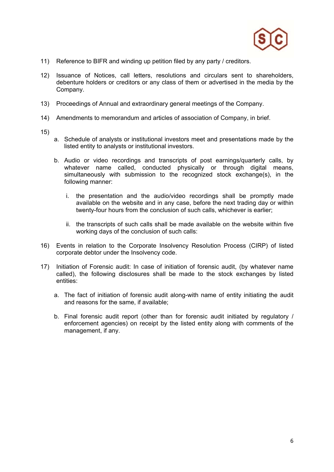

- 11) Reference to BIFR and winding up petition filed by any party / creditors.
- 12) Issuance of Notices, call letters, resolutions and circulars sent to shareholders, debenture holders or creditors or any class of them or advertised in the media by the Company.
- 13) Proceedings of Annual and extraordinary general meetings of the Company.
- 14) Amendments to memorandum and articles of association of Company, in brief.
- 15)
- a. Schedule of analysts or institutional investors meet and presentations made by the listed entity to analysts or institutional investors.
- b. Audio or video recordings and transcripts of post earnings/quarterly calls, by whatever name called, conducted physically or through digital means, simultaneously with submission to the recognized stock exchange(s), in the following manner:
	- i. the presentation and the audio/video recordings shall be promptly made available on the website and in any case, before the next trading day or within twenty-four hours from the conclusion of such calls, whichever is earlier;
	- ii. the transcripts of such calls shall be made available on the website within five working days of the conclusion of such calls:
- 16) Events in relation to the Corporate Insolvency Resolution Process (CIRP) of listed corporate debtor under the Insolvency code.
- 17) Initiation of Forensic audit: In case of initiation of forensic audit, (by whatever name called), the following disclosures shall be made to the stock exchanges by listed entities:
	- a. The fact of initiation of forensic audit along-with name of entity initiating the audit and reasons for the same, if available;
	- b. Final forensic audit report (other than for forensic audit initiated by regulatory / enforcement agencies) on receipt by the listed entity along with comments of the management, if any.